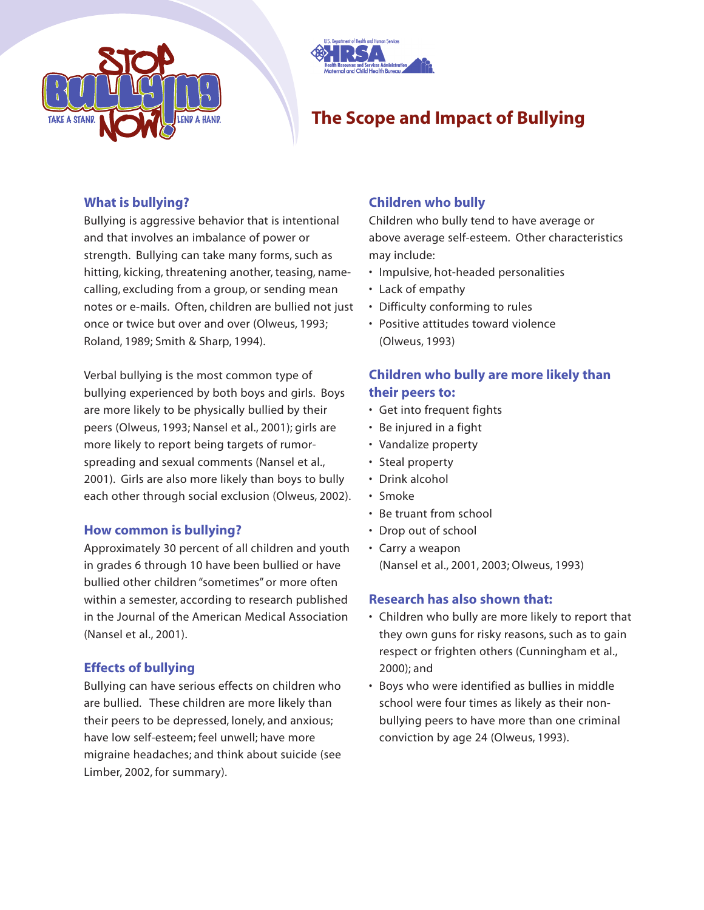



# **The Scope and Impact of Bullying**

### **What is bullying?**

Bullying is aggressive behavior that is intentional and that involves an imbalance of power or strength. Bullying can take many forms, such as hitting, kicking, threatening another, teasing, namecalling, excluding from a group, or sending mean notes or e-mails. Often, children are bullied not just once or twice but over and over (Olweus, 1993; Roland, 1989; Smith & Sharp, 1994).

Verbal bullying is the most common type of bullying experienced by both boys and girls. Boys are more likely to be physically bullied by their peers (Olweus, 1993; Nansel et al., 2001); girls are more likely to report being targets of rumorspreading and sexual comments (Nansel et al., 2001). Girls are also more likely than boys to bully each other through social exclusion (Olweus, 2002).

#### **How common is bullying?**

Approximately 30 percent of all children and youth in grades 6 through 10 have been bullied or have bullied other children "sometimes" or more often within a semester, according to research published in the Journal of the American Medical Association (Nansel et al., 2001).

## **Effects of bullying**

Bullying can have serious effects on children who are bullied. These children are more likely than their peers to be depressed, lonely, and anxious; have low self-esteem; feel unwell; have more migraine headaches; and think about suicide (see Limber, 2002, for summary).

## **Children who bully**

Children who bully tend to have average or above average self-esteem. Other characteristics may include:

- Impulsive, hot-headed personalities
- Lack of empathy
- Difficulty conforming to rules
- Positive attitudes toward violence (Olweus, 1993)

# **Children who bully are more likely than their peers to:**

- Get into frequent fights
- Be injured in a fight
- Vandalize property
- Steal property
- Drink alcohol
- Smoke
- Be truant from school
- Drop out of school
- Carry a weapon (Nansel et al., 2001, 2003; Olweus, 1993)

#### **Research has also shown that:**

- Children who bully are more likely to report that they own guns for risky reasons, such as to gain respect or frighten others (Cunningham et al., 2000); and
- Boys who were identified as bullies in middle school were four times as likely as their nonbullying peers to have more than one criminal conviction by age 24 (Olweus, 1993).